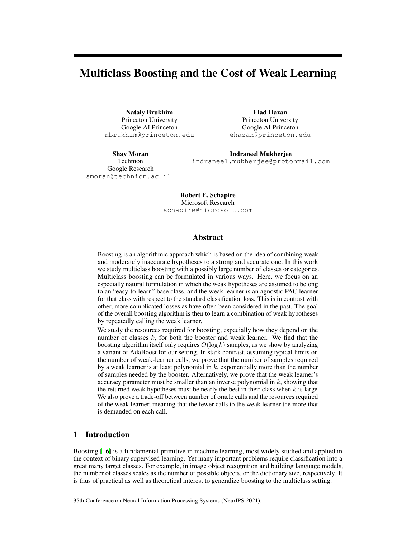# Multiclass Boosting and the Cost of Weak Learning

Nataly Brukhim Princeton University Google AI Princeton nbrukhim@princeton.edu

Elad Hazan Princeton University Google AI Princeton ehazan@princeton.edu

Shay Moran Technion Google Research smoran@technion.ac.il

Indraneel Mukherjee indraneel.mukherjee@protonmail.com

Robert E. Schapire Microsoft Research schapire@microsoft.com

# Abstract

Boosting is an algorithmic approach which is based on the idea of combining weak and moderately inaccurate hypotheses to a strong and accurate one. In this work we study multiclass boosting with a possibly large number of classes or categories. Multiclass boosting can be formulated in various ways. Here, we focus on an especially natural formulation in which the weak hypotheses are assumed to belong to an "easy-to-learn" base class, and the weak learner is an agnostic PAC learner for that class with respect to the standard classification loss. This is in contrast with other, more complicated losses as have often been considered in the past. The goal of the overall boosting algorithm is then to learn a combination of weak hypotheses by repeatedly calling the weak learner.

We study the resources required for boosting, especially how they depend on the number of classes  $k$ , for both the booster and weak learner. We find that the boosting algorithm itself only requires  $O(\log k)$  samples, as we show by analyzing a variant of AdaBoost for our setting. In stark contrast, assuming typical limits on the number of weak-learner calls, we prove that the number of samples required by a weak learner is at least polynomial in  $k$ , exponentially more than the number of samples needed by the booster. Alternatively, we prove that the weak learner's accuracy parameter must be smaller than an inverse polynomial in  $k$ , showing that the returned weak hypotheses must be nearly the best in their class when  $k$  is large. We also prove a trade-off between number of oracle calls and the resources required of the weak learner, meaning that the fewer calls to the weak learner the more that is demanded on each call.

# 1 Introduction

Boosting [\[16\]](#page-10-0) is a fundamental primitive in machine learning, most widely studied and applied in the context of binary supervised learning. Yet many important problems require classification into a great many target classes. For example, in image object recognition and building language models, the number of classes scales as the number of possible objects, or the dictionary size, respectively. It is thus of practical as well as theoretical interest to generalize boosting to the multiclass setting.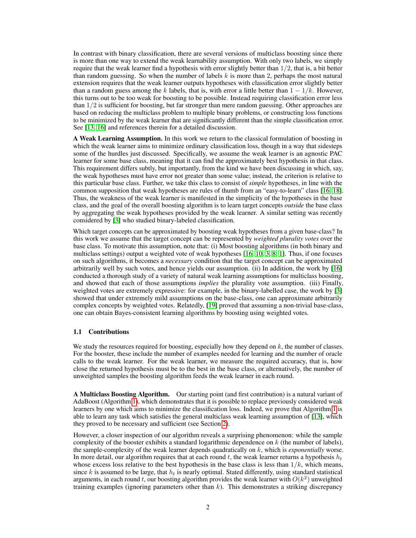In contrast with binary classification, there are several versions of multiclass boosting since there is more than one way to extend the weak learnability assumption. With only two labels, we simply require that the weak learner find a hypothesis with error slightly better than  $1/2$ , that is, a bit better than random guessing. So when the number of labels  $k$  is more than 2, perhaps the most natural extension requires that the weak learner outputs hypotheses with classification error slightly better than a random guess among the k labels, that is, with error a little better than  $1 - 1/k$ . However, this turns out to be too weak for boosting to be possible. Instead requiring classification error less than  $1/2$  is sufficient for boosting, but far stronger than mere random guessing. Other approaches are based on reducing the multiclass problem to multiple binary problems, or constructing loss functions to be minimized by the weak learner that are significantly different than the simple classification error. See [\[13,](#page-10-1) [16\]](#page-10-0) and references therein for a detailed discussion.

A Weak Learning Assumption. In this work we return to the classical formulation of boosting in which the weak learner aims to minimize ordinary classification loss, though in a way that sidesteps some of the hurdles just discussed. Specifically, we assume the weak learner is an agnostic PAC learner for some base class, meaning that it can find the approximately best hypothesis in that class. This requirement differs subtly, but importantly, from the kind we have been discussing in which, say, the weak hypotheses must have error not greater than some value; instead, the criterion is relative to this particular base class. Further, we take this class to consist of *simple* hypotheses, in line with the common supposition that weak hypotheses are rules of thumb from an "easy-to-learn" class [\[16,](#page-10-0) [18\]](#page-10-2). Thus, the weakness of the weak learner is manifested in the simplicity of the hypotheses in the base class, and the goal of the overall boosting algorithm is to learn target concepts *outside* the base class by aggregating the weak hypotheses provided by the weak learner. A similar setting was recently considered by [\[3\]](#page-9-0) who studied binary-labeled classification.

Which target concepts can be approximated by boosting weak hypotheses from a given base-class? In this work we assume that the target concept can be represented by *weighted plurality votes* over the base class. To motivate this assumption, note that: (i) Most boosting algorithms (in both binary and multiclass settings) output a weighted vote of weak hypotheses [\[16,](#page-10-0) [10,](#page-10-3) [3,](#page-9-0) [8,](#page-10-4) [1\]](#page-9-1). Thus, if one focuses on such algorithms, it becomes a *necessary* condition that the target concept can be approximated arbitrarily well by such votes, and hence yields our assumption. (ii) In addition, the work by [\[16\]](#page-10-0) conducted a thorough study of a variety of natural weak learning assumptions for multiclass boosting, and showed that each of those assumptions *implies* the plurality vote assumption. (iii) Finally, weighted votes are extremely expressive: for example, in the binary-labelled case, the work by [\[3\]](#page-9-0) showed that under extremely mild assumptions on the base-class, one can approximate arbitrarily complex concepts by weighted votes. Relatedly, [\[19\]](#page-10-5) proved that assuming a non-trivial base-class, one can obtain Bayes-consistent learning algorithms by boosting using weighted votes.

# 1.1 Contributions

We study the resources required for boosting, especially how they depend on  $k$ , the number of classes. For the booster, these include the number of examples needed for learning and the number of oracle calls to the weak learner. For the weak learner, we measure the required accuracy, that is, how close the returned hypothesis must be to the best in the base class, or alternatively, the number of unweighted samples the boosting algorithm feeds the weak learner in each round.

A Multiclass Boosting Algorithm. Our starting point (and first contribution) is a natural variant of AdaBoost (Algorithm [1\)](#page-5-0), which demonstrates that it is possible to replace previously considered weak learners by one which aims to minimize the classification loss. Indeed, we prove that Algorithm [1](#page-5-0) is able to learn any task which satisfies the general multiclass weak learning assumption of [\[13\]](#page-10-1), which they proved to be necessary and sufficient (see Section [2\)](#page-3-0).

However, a closer inspection of our algorithm reveals a surprising phenomenon: while the sample complexity of the booster exhibits a standard logarithmic dependence on  $k$  (the number of labels), the sample-complexity of the weak learner depends quadratically on k, which is *exponentially* worse. In more detail, our algorithm requires that at each round t, the weak learner returns a hypothesis  $h_t$ whose excess loss relative to the best hypothesis in the base class is less than  $1/k$ , which means, since k is assumed to be large, that  $h_t$  is nearly optimal. Stated differently, using standard statistical arguments, in each round t, our boosting algorithm provides the weak learner with  $O(k^2)$  unweighted training examples (ignoring parameters other than  $k$ ). This demonstrates a striking discrepancy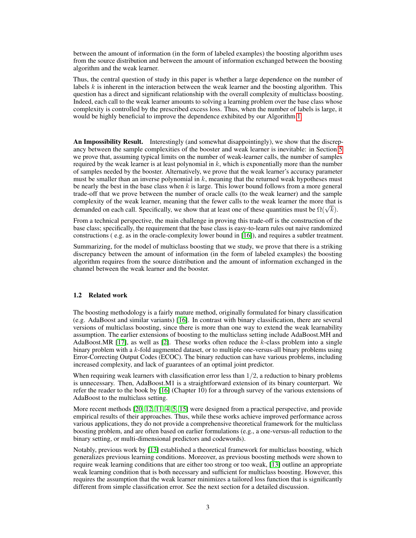between the amount of information (in the form of labeled examples) the boosting algorithm uses from the source distribution and between the amount of information exchanged between the boosting algorithm and the weak learner.

Thus, the central question of study in this paper is whether a large dependence on the number of labels  $k$  is inherent in the interaction between the weak learner and the boosting algorithm. This question has a direct and significant relationship with the overall complexity of multiclass boosting. Indeed, each call to the weak learner amounts to solving a learning problem over the base class whose complexity is controlled by the prescribed excess loss. Thus, when the number of labels is large, it would be highly beneficial to improve the dependence exhibited by our Algorithm [1.](#page-5-0)

An Impossibility Result. Interestingly (and somewhat disappointingly), we show that the discrepancy between the sample complexities of the booster and weak learner is inevitable: in Section [5](#page-6-0) we prove that, assuming typical limits on the number of weak-learner calls, the number of samples required by the weak learner is at least polynomial in  $k$ , which is exponentially more than the number of samples needed by the booster. Alternatively, we prove that the weak learner's accuracy parameter must be smaller than an inverse polynomial in  $k$ , meaning that the returned weak hypotheses must be nearly the best in the base class when  $k$  is large. This lower bound follows from a more general trade-off that we prove between the number of oracle calls (to the weak learner) and the sample complexity of the weak learner, meaning that the fewer calls to the weak learner the more that is complexity of the weak learner, meaning that the fewer calls to the weak learner the more that at learner of these quantities must be  $\Omega(\sqrt{k})$ .

From a technical perspective, the main challenge in proving this trade-off is the construction of the base class; specifically, the requirement that the base class is easy-to-learn rules out naive randomized constructions ( e.g. as in the oracle-complexity lower bound in [\[16\]](#page-10-0)), and requires a subtler treatment.

Summarizing, for the model of multiclass boosting that we study, we prove that there is a striking discrepancy between the amount of information (in the form of labeled examples) the boosting algorithm requires from the source distribution and the amount of information exchanged in the channel between the weak learner and the booster.

## 1.2 Related work

The boosting methodology is a fairly mature method, originally formulated for binary classification (e.g. AdaBoost and similar variants) [\[16\]](#page-10-0). In contrast with binary classification, there are several versions of multiclass boosting, since there is more than one way to extend the weak learnability assumption. The earlier extensions of boosting to the multiclass setting include AdaBoost.MH and AdaBoost.MR [\[17\]](#page-10-6), as well as [\[2\]](#page-9-2). These works often reduce the k-class problem into a single binary problem with a  $k$ -fold augmented dataset, or to multiple one-versus-all binary problems using Error-Correcting Output Codes (ECOC). The binary reduction can have various problems, including increased complexity, and lack of guarantees of an optimal joint predictor.

When requiring weak learners with classification error less than  $1/2$ , a reduction to binary problems is unnecessary. Then, AdaBoost.M1 is a straightforward extension of its binary counterpart. We refer the reader to the book by [\[16\]](#page-10-0) (Chapter 10) for a through survey of the various extensions of AdaBoost to the multiclass setting.

More recent methods [\[20,](#page-10-7) [12,](#page-10-8) [11,](#page-10-9) [4,](#page-9-3) [5,](#page-9-4) [15\]](#page-10-10) were designed from a practical perspective, and provide empirical results of their approaches. Thus, while these works achieve improved performance across various applications, they do not provide a comprehensive theoretical framework for the multiclass boosting problem, and are often based on earlier formulations (e.g., a one-versus-all reduction to the binary setting, or multi-dimensional predictors and codewords).

Notably, previous work by [\[13\]](#page-10-1) established a theoretical framework for multiclass boosting, which generalizes previous learning conditions. Moreover, as previous boosting methods were shown to require weak learning conditions that are either too strong or too weak, [\[13\]](#page-10-1) outline an appropriate weak learning condition that is both necessary and sufficient for multiclass boosting. However, this requires the assumption that the weak learner minimizes a tailored loss function that is significantly different from simple classification error. See the next section for a detailed discussion.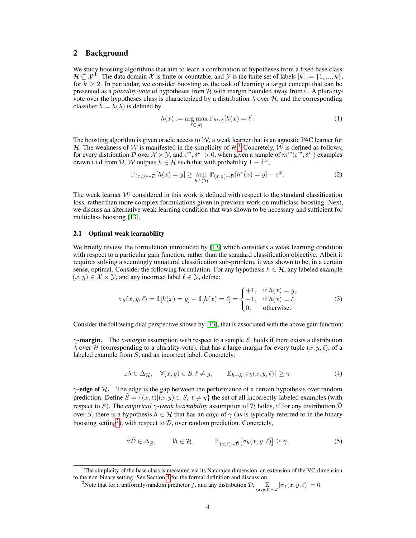# <span id="page-3-0"></span>2 Background

We study boosting algorithms that aim to learn a combination of hypotheses from a fixed base class  $\mathcal{H} \subseteq \mathcal{Y}^{\tilde{\mathcal{X}}}$ . The data domain  $\mathcal{X}$  is finite or countable, and  $\mathcal{Y}$  is the finite set of labels  $[k] := \{1, ..., k\}$ , for  $k \geq 2$ . In particular, we consider boosting as the task of learning a target concept that can be presented as a *plurality-vote* of hypotheses from  $H$  with margin bounded away from 0. A pluralityvote over the hypotheses class is characterized by a distribution  $\lambda$  over  $\mathcal{H}$ , and the corresponding classifier  $\bar{h} = \bar{h}(\lambda)$  is defined by

<span id="page-3-5"></span>
$$
\bar{h}(x) := \underset{\ell \in [k]}{\arg \max} \mathbb{P}_{h \sim \lambda}[h(x) = \ell]. \tag{1}
$$

The boosting algorithm is given oracle access to  $W$ , a weak learner that is an agnostic PAC learner for H. The weakness of W is manifested in the simplicity of  $H<sup>1</sup>$  $H<sup>1</sup>$  $H<sup>1</sup>$  Concretely, W is defined as follows; for every distribution D over  $\mathcal{X} \times \mathcal{Y}$ , and  $\epsilon^w$ ,  $\delta^w > 0$ , when given a sample of  $m^w(\epsilon^w, \delta^w)$  examples drawn i.i.d from D, W outputs  $h \in \mathcal{H}$  such that with probability  $1 - \delta^w$ ,

$$
\mathbb{P}_{(x,y)\sim\mathcal{D}}[h(x) = y] \ge \sup_{h^* \in \mathcal{H}} \mathbb{P}_{(x,y)\sim\mathcal{D}}[h^*(x) = y] - \epsilon^w.
$$
 (2)

The weak learner  $W$  considered in this work is defined with respect to the standard classification loss, rather than more complex formulations given in previous work on multiclass boosting. Next, we discuss an alternative weak learning condition that was shown to be necessary and sufficient for multiclass boosting [\[13\]](#page-10-1).

#### 2.1 Optimal weak learnability

We briefly review the formulation introduced by [\[13\]](#page-10-1) which considers a weak learning condition with respect to a particular gain function, rather than the standard classification objective. Albeit it requires solving a seemingly unnatural classification sub-problem, it was shown to be, in a certain sense, optimal. Consider the following formulation. For any hypothesis  $h \in \mathcal{H}$ , any labeled example  $(x, y) \in \mathcal{X} \times \mathcal{Y}$ , and any incorrect label  $\ell \in \mathcal{Y}$ , define:

$$
\sigma_h(x, y, \ell) = \mathbb{1}[h(x) = y] - \mathbb{1}[h(x) = \ell] = \begin{cases} +1, & \text{if } h(x) = y, \\ -1, & \text{if } h(x) = \ell, \\ 0, & \text{otherwise.} \end{cases}
$$
(3)

Consider the following dual perspective shown by [\[13\]](#page-10-1), that is associated with the above gain function:

<span id="page-3-3"></span> $\gamma$ **-margin.** The  $\gamma$ -margin assumption with respect to a sample S, holds if there exists a distribution  $\lambda$  over H (corresponding to a plurality-vote), that has a large margin for every tuple  $(x, y, \ell)$ , of a labeled example from S, and an incorrect label. Concretely,

$$
\exists \lambda \in \Delta_{\mathcal{H}}, \quad \forall (x, y) \in S, \ell \neq y, \qquad \mathbb{E}_{h \sim \lambda} \big[ \sigma_h(x, y, \ell) \big] \ge \gamma. \tag{4}
$$

<span id="page-3-4"></span> $\gamma$ -edge of H. The edge is the gap between the performance of a certain hypothesis over random prediction. Define  $\tilde{S} = \{(x, \ell) | (x, y) \in S, \ell \neq y\}$  the set of all incorrectly-labeled examples (with respect to S). The *empirical*  $\gamma$ *-weak learnability* assumption of H holds, if for any distribution  $\tilde{\mathcal{D}}$ over  $\tilde{S}$ , there is a hypothesis  $h \in H$  that has an *edge* of  $\gamma$  (as is typically referred to in the binary boosting setting<sup>[2](#page-3-2)</sup>), with respect to  $\tilde{\mathcal{D}}$ , over random prediction. Concretely,

$$
\forall \tilde{\mathcal{D}} \in \Delta_{\tilde{S}}, \qquad \exists h \in \mathcal{H}, \qquad \mathbb{E}_{(x,\ell) \sim \tilde{\mathcal{D}}} \big[ \sigma_h(x, y, \ell) \big] \ge \gamma. \tag{5}
$$

<span id="page-3-1"></span><sup>1</sup>The simplicity of the base class is measured via its Natarajan dimension, an extension of the VC-dimension to the non-binary setting. See Section [4](#page-5-1) for the formal definition and discussion.

<span id="page-3-2"></span><sup>&</sup>lt;sup>2</sup>Note that for a uniformly-random predictor f, and any distribution  $\mathcal{D}$ ,  $\mathbb{E}_{(x,y,\ell)\sim\mathcal{D}}[\sigma_f(x,y,\ell)]=0$ .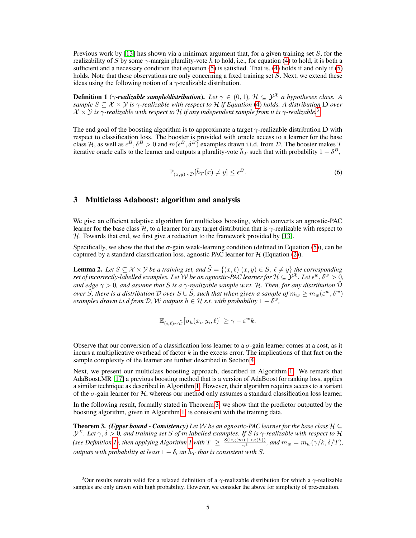Previous work by [\[13\]](#page-10-1) has shown via a minimax argument that, for a given training set  $S$ , for the realizability of S by some  $\gamma$ -margin plurality-vote h to hold, i.e., for equation [\(4\)](#page-3-3) to hold, it is both a sufficient and a necessary condition that equation  $(5)$  is satisfied. That is,  $(4)$  holds if and only if  $(5)$ holds. Note that these observations are only concerning a fixed training set S. Next, we extend these ideas using the following notion of a  $\gamma$ -realizable distribution.

<span id="page-4-2"></span>**Definition 1** ( $\gamma$ -realizable sample/distribution). Let  $\gamma \in (0,1)$ ,  $\mathcal{H} \subseteq \mathcal{Y}^{\mathcal{X}}$  a hypotheses class. A *sample*  $S \subseteq \mathcal{X} \times \mathcal{Y}$  *is*  $\gamma$ *-realizable with respect to*  $\mathcal{H}$  *if Equation* [\(4\)](#page-3-3) *holds. A distribution* **D** *over*  $\chi \times \chi$  *is*  $\gamma$ -realizable with respect to H if any independent sample from it is  $\gamma$ -realizable.<sup>[3](#page-4-0)</sup>

The end goal of the boosting algorithm is to approximate a target  $\gamma$ -realizable distribution D with respect to classification loss. The booster is provided with oracle access to a learner for the base class H, as well as  $\epsilon^B$ ,  $\delta^B > 0$  and  $m(\epsilon^B, \delta^B)$  examples drawn i.i.d. from D. The booster makes T iterative oracle calls to the learner and outputs a plurality-vote  $\bar{h}_T$  such that with probability  $1 - \delta^B$ ,

$$
\mathbb{P}_{(x,y)\sim\mathcal{D}}[\bar{h}_T(x)\neq y] \le \epsilon^B. \tag{6}
$$

# <span id="page-4-4"></span>3 Multiclass Adaboost: algorithm and analysis

We give an efficient adaptive algorithm for multiclass boosting, which converts an agnostic-PAC learner for the base class H, to a learner for any target distribution that is  $\gamma$ -realizable with respect to  $H$ . Towards that end, we first give a reduction to the framework provided by [\[13\]](#page-10-1).

Specifically, we show the that the  $\sigma$ -gain weak-learning condition (defined in Equation [\(5\)](#page-3-4)), can be captured by a standard classification loss, agnostic PAC learner for  $H$  (Equation [\(2\)](#page-3-5)).

<span id="page-4-3"></span>**Lemma 2.** Let  $S \subseteq \mathcal{X} \times \mathcal{Y}$  be a training set, and  $\tilde{S} = \{(x, \ell) | (x, y) \in S, \ell \neq y\}$  the corresponding set of incorrectly-labelled examples. Let  ${\cal W}$  be an agnostic-PAC learner for  ${\cal H} \subseteq \hat{\cal Y}^{\cal X}$  . Let  $\epsilon^w, \delta^w > 0$ , *and edge*  $\gamma > 0$ , and assume that S is a  $\gamma$ -realizable sample w.r.t. H. Then, for any distribution  $\tilde{\mathcal{D}}$ *over*  $\tilde{S}$ , there is a distribution D over  $S \cup \tilde{S}$ , such that when given a sample of  $m_w \ge m_w(\varepsilon^w, \delta^w)$ *examples drawn i.i.d from D, W outputs*  $h \in \mathcal{H}$  *s.t. with probability*  $1 - \tilde{\delta}^w$ *,* 

$$
\mathbb{E}_{(i,\ell)\sim\tilde{\mathcal{D}}} \big[ \sigma_h(x_i,y_i,\ell) \big] \geq \gamma - \varepsilon^w k.
$$

Observe that our conversion of a classification loss learner to a  $\sigma$ -gain learner comes at a cost, as it incurs a multiplicative overhead of factor  $k$  in the excess error. The implications of that fact on the sample complexity of the learner are further described in Section [4.](#page-5-1)

Next, we present our multiclass boosting approach, described in Algorithm [1.](#page-5-0) We remark that AdaBoost.MR [\[17\]](#page-10-6) a previous boosting method that is a version of AdaBoost for ranking loss, applies a similar technique as described in Algorithm [1.](#page-5-0) However, their algorithm requires access to a variant of the  $\sigma$ -gain learner for H, whereas our method only assumes a standard classification loss learner.

In the following result, formally stated in Theorem [3,](#page-4-1) we show that the predictor outputted by the boosting algorithm, given in Algorithm [1,](#page-5-0) is consistent with the training data.

<span id="page-4-1"></span>**Theorem 3.** *(Upper bound - Consistency) Let* W *be an agnostic-PAC learner for the base class*  $\mathcal{H} \subseteq$  $\mathcal{Y}^{\mathcal{X}}$ *. Let*  $\gamma, \delta > 0$ , and training set S of  $m$  labelled examples. If S is  $\gamma$ -realizable with respect to H *(see Definition [1\)](#page-4-2), then applying Algorithm [1](#page-5-0) with*  $T \ge \frac{8(\log(m) + \log(k))}{\gamma^2}$ *, and*  $m_w = m_w(\gamma/k, \delta/T)$ *,*  $\tilde{\rho}$  *outputs with probability at least*  $1 - \delta$ , an  $\bar{h}_T$  *that is consistent with S.* 

<span id="page-4-0"></span><sup>&</sup>lt;sup>3</sup>Our results remain valid for a relaxed definition of a  $\gamma$ -realizable distribution for which a  $\gamma$ -realizable samples are only drawn with high probability. However, we consider the above for simplicity of presentation.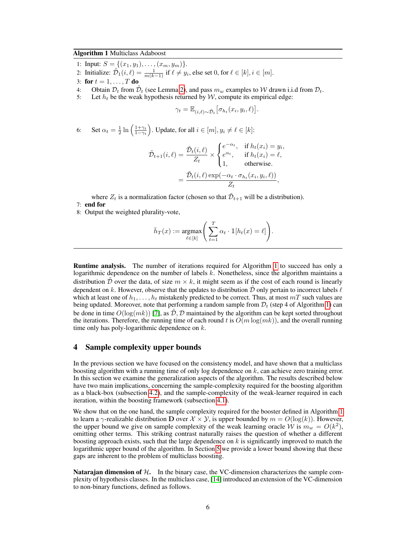# <span id="page-5-0"></span>Algorithm 1 Multiclass Adaboost

- 1: Input:  $S = \{(x_1, y_1), \ldots, (x_m, y_m)\}.$
- 2: Initialize:  $\tilde{\mathcal{D}_1}(i,\ell) = \frac{1}{m(k-1)}$  if  $\ell \neq y_i$ , else set 0, for  $\ell \in [k], i \in [m]$ .
- 3: for  $t = 1, \ldots, T$  do
- 4: Obtain  $\mathcal{D}_t$  from  $\tilde{\mathcal{D}}_t$  (see Lemma [2\)](#page-4-3), and pass  $m_w$  examples to W drawn i.i.d from  $\mathcal{D}_t$ .
- 5: Let  $h_t$  be the weak hypothesis returned by W, compute its empirical edge:

$$
\gamma_t = \mathbb{E}_{(i,\ell)\sim\tilde{\mathcal{D}}_t}\big[\sigma_{h_t}(x_i,y_i,\ell)\big]
$$

.

6: Set  $\alpha_t = \frac{1}{2} \ln \left( \frac{1+\gamma_t}{1-\gamma_t} \right)$ . Update, for all  $i \in [m], y_i \neq \ell \in [k]$ :

$$
\tilde{\mathcal{D}}_{t+1}(i,\ell) = \frac{\tilde{\mathcal{D}}_t(i,\ell)}{Z_t} \times \begin{cases}\ne^{-\alpha_t}, & \text{if } h_t(x_i) = y_i, \\
e^{\alpha_t}, & \text{if } h_t(x_i) = \ell, \\
1, & \text{otherwise.} \n\end{cases}
$$
\n
$$
= \frac{\tilde{\mathcal{D}}_t(i,\ell) \exp(-\alpha_t \cdot \sigma_{h_t}(x_i, y_i, \ell))}{Z_t},
$$

where  $Z_t$  is a normalization factor (chosen so that  $\tilde{\mathcal{D}}_{t+1}$  will be a distribution). 7: end for

8: Output the weighted plurality-vote,

$$
\bar{h}_T(x) := \underset{\ell \in [k]}{\operatorname{argmax}} \left( \sum_{t=1}^T \alpha_t \cdot \mathbbm{1}[h_t(x) = \ell] \right).
$$

Runtime analysis. The number of iterations required for Algorithm [1](#page-5-0) to succeed has only a logarithmic dependence on the number of labels k. Nonetheless, since the algorithm maintains a distribution D over the data, of size  $m \times k$ , it might seem as if the cost of each round is linearly dependent on k. However, observe that the updates to distribution  $\tilde{\mathcal{D}}$  only pertain to incorrect labels  $\ell$ which at least one of  $h_1, \ldots, h_t$  mistakenly predicted to be correct. Thus, at most  $mT$  such values are being updated. Moreover, note that performing a random sample from  $\mathcal{D}_t$  (step 4 of Algorithm [1\)](#page-5-0) can be done in time  $O(log(mk))$  [\[7\]](#page-9-5), as  $\tilde{\mathcal{D}}, \mathcal{D}$  maintained by the algorithm can be kept sorted throughout the iterations. Therefore, the running time of each round t is  $O(m \log(mk))$ , and the overall running time only has poly-logarithmic dependence on  $k$ .

# <span id="page-5-1"></span>4 Sample complexity upper bounds

In the previous section we have focused on the consistency model, and have shown that a multiclass boosting algorithm with a running time of only log dependence on  $k$ , can achieve zero training error. In this section we examine the generalization aspects of the algorithm. The results described below have two main implications, concerning the sample-complexity required for the boosting algorithm as a black-box (subsection [4.2\)](#page-6-1), and the sample-complexity of the weak-learner required in each iteration, within the boosting framework (subsection [4.1\)](#page-6-2).

We show that on the one hand, the sample complexity required for the booster defined in Algorithm [1](#page-5-0) to learn a  $\gamma$ -realizable distribution **D** over  $\mathcal{X} \times \mathcal{Y}$ , is upper bounded by  $m = O(\log(k))$ . However, the upper bound we give on sample complexity of the weak learning oracle W is  $m_w = O(k^2)$ , omitting other terms. This striking contrast naturally raises the question of whether a different boosting approach exists, such that the large dependence on  $k$  is significantly improved to match the logarithmic upper bound of the algorithm. In Section [5](#page-6-0) we provide a lower bound showing that these gaps are inherent to the problem of multiclass boosting.

**Natarajan dimension of**  $H$ **.** In the binary case, the VC-dimension characterizes the sample complexity of hypothesis classes. In the multiclass case, [\[14\]](#page-10-11) introduced an extension of the VC-dimension to non-binary functions, defined as follows.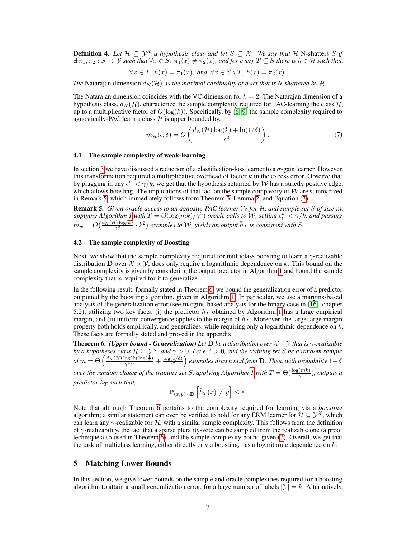**Definition 4.** *Let*  $\mathcal{H} \subseteq \mathcal{Y}^{\mathcal{X}}$  *a hypothesis class and let*  $S \subseteq \mathcal{X}$ *. We say that*  $\mathcal{H}$  N-shatters  $S$  *if*  $\exists \pi_1, \pi_2 : S \to Y$  *such that*  $\forall x \in S$ ,  $\pi_1(x) \neq \pi_2(x)$ *, and for every*  $T \subseteq S$  *there is*  $h \in H$  *such that,* 

$$
\forall x \in T, h(x) = \pi_1(x), \text{ and } \forall x \in S \setminus T, h(x) = \pi_2(x).
$$

*The* Natarajan dimension  $d_N(\mathcal{H})$ *, is the maximal cardinality of a set that is N-shattered by*  $\mathcal{H}$ *.* 

The Natarajan dimension coincides with the VC-dimension for  $k = 2$ . The Natarajan dimension of a hypothesis class,  $d_N(\mathcal{H})$ , characterize the sample complexity required for PAC-learning the class  $\mathcal{H}$ , up to a multiplicative factor of  $O(\log(k))$ . Specifically, by [\[6,](#page-9-6) [9\]](#page-10-12) the sample complexity required to agnostically-PAC learn a class  $H$  is upper bounded by,

<span id="page-6-4"></span>
$$
m_{\mathcal{H}}(\epsilon,\delta) = O\left(\frac{d_N(\mathcal{H})\log(k) + \ln(1/\delta)}{\epsilon^2}\right). \tag{7}
$$

#### <span id="page-6-2"></span>4.1 The sample complexity of weak-learning

In section [3](#page-4-4) we have discussed a reduction of a classification-loss learner to a  $\sigma$ -gain learner. However, this transformation required a multiplicative overhead of factor  $k$  in the excess error. Observe that by plugging in any  $\epsilon^w < \gamma/k$ , we get that the hypothesis returned by W has a strictly positive edge, which allows boosting. The implications of that fact on the sample complexity of  $W$  are summarized in Remark [5,](#page-6-3) which immediately follows from Theorem [3,](#page-4-1) Lemma [2,](#page-4-3) and Equation [\(7\)](#page-6-4).

<span id="page-6-3"></span>Remark 5. *Given oracle access to an agnostic-PAC learner* W *for* H*, and sample set* S *of size* m*,*  $applying Algorithm~1$  with  $T = O(\log(mk)/\gamma^2)$  oracle calls to  $\cal W$ , setting  $\epsilon^w_t < \gamma/k$ , and passing  $m_w = O\big(\frac{d_N(\mathcal{H})\log(k)}{\gamma^2}\cdot k^2\big)$  examples to W, yields an output  $\bar{h}_T$  is consistent with S.

## <span id="page-6-1"></span>4.2 The sample complexity of Boosting

Next, we show that the sample complexity required for multiclass boosting to learn a  $\gamma$ -realizable distribution D over  $X \times Y$ , does only require a logarithmic dependence on k. This bound on the sample complexity is given by considering the output predictor in Algorithm [1](#page-5-0) and bound the sample complexity that is required for it to generalize.

In the following result, formally stated in Theorem [6,](#page-6-5) we bound the generalization error of a predictor outputted by the boosting algorithm, given in Algorithm [1.](#page-5-0) In particular, we use a margins-based analysis of the generalization error (see margins-based analysis for the binary case in [\[16\]](#page-10-0), chapter 5.2), utilizing two key facts; (i) the predictor  $\bar{h}_T$  obtained by Algorithm [1](#page-5-0) has a large empirical margin, and (ii) uniform convergence applies to the margin of  $\bar{h}_T$ . Moreover, the large large margin property both holds empirically, and generalizes, while requiring only a logarithmic dependence on  $k$ . These facts are formally stated and proved in the appendix.

<span id="page-6-5"></span>**Theorem 6.** *(Upper bound - Generalization) Let*  $D$  *be a distribution over*  $X \times Y$  *that is*  $\gamma$ *-realizable by a hypotheses class*  $H \subseteq \mathcal{Y}^{\mathcal{X}}$ , and  $\gamma > 0$ . Let  $\epsilon, \delta > 0$ , and the training set S be a random sample  $of m = \Theta\left(\frac{d_N(\mathcal{H})\log(k)\log(\frac{1}{\epsilon})}{\gamma^2\epsilon^2}\right)$  $\frac{\log(k)\log(\frac{1}{\epsilon})}{\gamma^2\epsilon^2} + \frac{\log(1/\delta)}{\epsilon^2}$  $\frac{(1/\delta)}{\epsilon^2}$  examples drawn i.i.d from **D**. Then, with probability  $1-\delta$ ,

*over the random choice of the training set S, applying Algorithm [1](#page-5-0) with*  $T = \Theta(\frac{\log(mk)}{\gamma^2})$ , *outputs a* predictor  $\bar{h}_T$  such that,

$$
\mathbb{P}_{(x,y)\sim \mathbf{D}}\left[\bar{h}_T(x)\neq y\right]\leq \epsilon.
$$

Note that although Theorem [6](#page-6-5) pertains to the complexity required for learning via a *boosting* algorithm; a similar statement can even be verified to hold for any ERM learner for  $\mathcal{H} \subseteq \mathcal{Y}^{\mathcal{X}}$ , which can learn any  $\gamma$ -realizable for H, with a similar sample complexity. This follows from the definition of  $\gamma$ -realizability, the fact that a sparse plurality-vote can be sampled from the realizable one (a proof technique also used in Theorem [6\)](#page-6-5), and the sample complexity bound given [\(7\)](#page-6-4). Overall, we get that the task of multiclass learning, either directly or via boosting, has a logarithmic dependence on  $k$ .

# <span id="page-6-0"></span>5 Matching Lower Bounds

In this section, we give lower bounds on the sample and oracle complexities required for a boosting algorithm to attain a small generalization error, for a large number of labels  $|\mathcal{Y}| = k$ . Alternatively,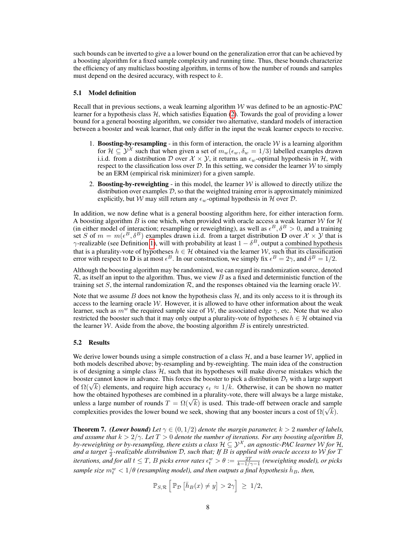such bounds can be inverted to give a a lower bound on the generalization error that can be achieved by a boosting algorithm for a fixed sample complexity and running time. Thus, these bounds characterize the efficiency of any multiclass boosting algorithm, in terms of how the number of rounds and samples must depend on the desired accuracy, with respect to k.

## <span id="page-7-1"></span>5.1 Model definition

Recall that in previous sections, a weak learning algorithm  $W$  was defined to be an agnostic-PAC learner for a hypothesis class  $H$ , which satisfies Equation [\(2\)](#page-3-5). Towards the goal of providing a lower bound for a general boosting algorithm, we consider two alternative, standard models of interaction between a booster and weak learner, that only differ in the input the weak learner expects to receive.

- 1. Boosting-by-resampling in this form of interaction, the oracle  $W$  is a learning algorithm for  $\mathcal{H} \subseteq \mathcal{Y}^{\mathcal{X}}$  such that when given a set of  $m_w(\epsilon_w, \delta_w = 1/3)$  labelled examples drawn i.i.d. from a distribution D over  $X \times Y$ , it returns an  $\epsilon_w$ -optimal hypothesis in H, with respect to the classification loss over  $\mathcal{D}$ . In this setting, we consider the learner  $\mathcal{W}$  to simply be an ERM (empirical risk minimizer) for a given sample.
- 2. Boosting-by-reweighting in this model, the learner  $\mathcal W$  is allowed to directly utilize the distribution over examples  $D$ , so that the weighted training error is approximately minimized explicitly, but W may still return any  $\epsilon_w$ -optimal hypothesis in H over D.

In addition, we now define what is a general boosting algorithm here, for either interaction form. A boosting algorithm B is one which, when provided with oracle access a weak learner W for  $H$ (in either model of interaction; resampling or reweighting), as well as  $\epsilon^B$ ,  $\delta^B > 0$ , and a training set S of  $m = m(\epsilon^B, \delta^B)$  examples drawn i.i.d. from a target distribution D over  $\mathcal{X} \times \mathcal{Y}$  that is  $\gamma$ -realizable (see Definition [1\)](#page-4-2), will with probability at least  $1 - \delta^B$ , output a combined hypothesis that is a plurality-vote of hypotheses  $h \in \mathcal{H}$  obtained via the learner W, such that its classification error with respect to **D** is at most  $\epsilon^B$ . In our construction, we simply fix  $\epsilon^B = 2\gamma$ , and  $\delta^B = 1/2$ .

Although the boosting algorithm may be randomized, we can regard its randomization source, denoted  $\mathcal{R}$ , as itself an input to the algorithm. Thus, we view B as a fixed and deterministic function of the training set S, the internal randomization  $\mathcal{R}$ , and the responses obtained via the learning oracle  $\mathcal{W}$ .

Note that we assume B does not know the hypothesis class  $H$ , and its only access to it is through its access to the learning oracle  $W$ . However, it is allowed to have other information about the weak learner, such as  $m^w$  the required sample size of W, the associated edge  $\gamma$ , etc. Note that we also restricted the booster such that it may only output a plurality-vote of hypotheses  $h \in \mathcal{H}$  obtained via the learner  $W$ . Aside from the above, the boosting algorithm  $B$  is entirely unrestricted.

## 5.2 Results

We derive lower bounds using a simple construction of a class  $H$ , and a base learner  $W$ , applied in both models described above; by-resampling and by-reweighting. The main idea of the construction is of designing a simple class  $H$ , such that its hypotheses will make diverse mistakes which the booster cannot know in advance. This forces the booster to pick a distribution  $\mathcal{D}_t$  with a large support booster cannot know in advance. This forces the booster to pick a distribution  $D_t$  with a farge support of  $\Omega(\sqrt{k})$  elements, and require high accuracy  $\epsilon_t \approx 1/k$ . Otherwise, it can be shown no matter how the obtained hypotheses are combined in a plurality-vote, there will always be a large mistake, now the obtained hypotheses are combined in a plurality-vole, there will always be a large mistake unless a large number of rounds  $T = \Omega(\sqrt{k})$  is used. This trade-off between oracle and sample complexities provides the lower bound we seek, showing that any booster incurs a cost of  $\Omega(\sqrt{k})$ .

<span id="page-7-0"></span>**Theorem 7.** *(Lower bound) Let*  $\gamma \in (0,1/2)$  *denote the margin parameter,*  $k > 2$  *number of labels, and assume that*  $k > 2/\gamma$ *. Let*  $T > 0$  *denote the number of iterations. For any boosting algorithm B, by-reweighting or by-resampling, there exists a class*  $\mathcal{H} \subseteq \mathcal{Y}^\mathcal{X}$ *, an agnostic-PAC learner W for*  $\mathcal{H}$ *,* and a target  $\frac{\gamma}{2}$ -realizable distribution D, such that; If  $B$  is applied with oracle access to W for T *iterations, and for all t*  $\leq T$ *, B picks error rates*  $\epsilon_t^w > \theta := \frac{2T}{k-1/\gamma-1}$  (reweighting model), or picks  $sample$  size  $m_t^w < 1/\theta$  (resampling model), and then outputs a final hypothesis  $\bar{h}_B$ , then,

$$
\mathbb{P}_{S,\mathcal{R}}\left[\mathbb{P}_{\mathcal{D}}\left[\bar{h}_B(x)\neq y\right]>2\gamma\right] \geq 1/2,
$$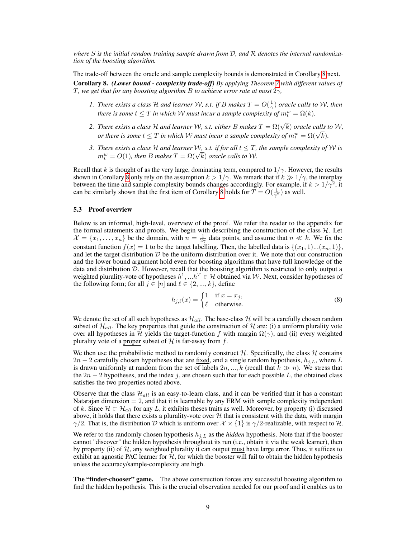*where* S *is the initial random training sample drawn from* D*, and* R *denotes the internal randomization of the boosting algorithm.*

<span id="page-8-0"></span>The trade-off between the oracle and sample complexity bounds is demonstrated in Corollary [8](#page-8-0) next. Corollary 8. *(Lower bound - complexity trade-off) By applying Theorem [7](#page-7-0) with different values of* T*, we get that for any boosting algorithm* B *to achieve error rate at most* 2γ*,*

- *1. There exists a class H and learner* W, s.t. if B makes  $T = O(\frac{1}{\gamma})$  oracle calls to W, then *there is some*  $t \leq T$  *in which* W *must incur a sample complexity of*  $m_t^w = \Omega(k)$ *.*
- *2. There exists a class*  $\cal H$  *and learner*  $W$ , *s.t. either B makes*  $T = \Omega(\sqrt{k})$  *oracle calls to*  $W$ , *or there exisis a class + and learner vv, s.l. eliner B makes*  $I = \Omega(\nabla k)$  *oracle calls to there is some*  $t \leq T$  *in which W must incur a sample complexity of*  $m_t^w = \Omega(\sqrt{k})$ *.*
- *3. There exists a class* H *and learner* W, *s.t. if for all*  $t \leq T$ *, the sample complexity of* W *is* There exists a class  $H$  and learner  $W$ , s.t. if for all  $t \leq 1$ ,  $m_t^w = O(1)$ , then B makes  $T = \Omega(\sqrt{k})$  oracle calls to W.

Recall that k is thought of as the very large, dominating term, compared to  $1/\gamma$ . However, the results shown in Corollary [8](#page-8-0) only rely on the assumption  $k > 1/\gamma$ . We remark that if  $k \gg 1/\gamma$ , the interplay between the time and sample complexity bounds changes accordingly. For example, if  $k > 1/\gamma^2$ , it can be similarly shown that the first item of Corollary [8](#page-8-0) holds for  $T = O(\frac{1}{\gamma^2})$  as well.

## 5.3 Proof overview

Below is an informal, high-level, overview of the proof. We refer the reader to the appendix for the formal statements and proofs. We begin with describing the construction of the class  $H$ . Let  $\mathcal{X} = \{x_1, \ldots, x_n\}$  be the domain, with  $n = \frac{1}{2\gamma}$  data points, and assume that  $n \ll k$ . We fix the constant function  $f(x) = 1$  to be the target labelling. Then, the labelled data is  $\{(x_1, 1) \dots (x_n, 1)\}\,$ and let the target distribution  $D$  be the uniform distribution over it. We note that our construction and the lower bound argument hold even for boosting algorithms that have full knowledge of the data and distribution  $D$ . However, recall that the boosting algorithm is restricted to only output a weighted plurality-vote of hypotheses  $h^1, ... h^T \in \mathcal{H}$  obtained via W. Next, consider hypotheses of the following form; for all  $j \in [n]$  and  $\ell \in \{2, ..., k\}$ , define

$$
h_{j,\ell}(x) = \begin{cases} 1 & \text{if } x = x_j, \\ \ell & \text{otherwise.} \end{cases}
$$
 (8)

We denote the set of all such hypotheses as  $\mathcal{H}_{all}$ . The base-class H will be a carefully chosen random subset of  $\mathcal{H}_{all}$ . The key properties that guide the construction of H are: (i) a uniform plurality vote over all hypotheses in H yields the target-function f with margin  $\Omega(\gamma)$ , and (ii) every weighted plurality vote of a proper subset of  $H$  is far-away from  $f$ .

We then use the probabilistic method to randomly construct  $H$ . Specifically, the class  $H$  contains  $2n - 2$  carefully chosen hypotheses that are fixed, and a single random hypothesis,  $h_{j,L}$ , where L is drawn uniformly at random from the set of labels  $2n, ..., k$  (recall that  $k \gg n$ ). We stress that the  $2n - 2$  hypotheses, and the index j, are chosen such that for each possible L, the obtained class satisfies the two properties noted above.

Observe that the class  $\mathcal{H}_{all}$  is an easy-to-learn class, and it can be verified that it has a constant Natarajan dimension  $= 2$ , and that it is learnable by any ERM with sample complexity independent of k. Since  $\mathcal{H} \subset \mathcal{H}_{all}$  for any L, it exhibits theses traits as well. Moreover, by property (i) discussed above, it holds that there exists a plurality-vote over  $H$  that is consistent with the data, with margin  $\gamma/2$ . That is, the distribution D which is uniform over  $\mathcal{X} \times \{1\}$  is  $\gamma/2$ -realizable, with respect to H.

We refer to the randomly chosen hypothesis  $h_{j,L}$  as the *hidden* hypothesis. Note that if the booster cannot "discover" the hidden hypothesis throughout its run (i.e., obtain it via the weak learner), then by property (ii) of  $H$ , any weighted plurality it can output must have large error. Thus, it suffices to exhibit an agnostic PAC learner for  $H$ , for which the booster will fail to obtain the hidden hypothesis unless the accuracy/sample-complexity are high.

The "finder-chooser" game. The above construction forces any successful boosting algorithm to find the hidden hypothesis. This is the crucial observation needed for our proof and it enables us to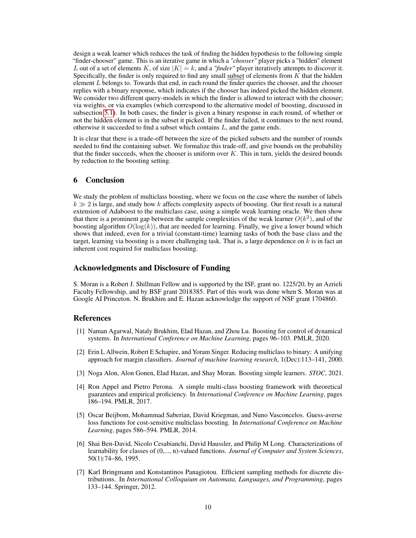design a weak learner which reduces the task of finding the hidden hypothesis to the following simple "finder-chooser" game. This is an iterative game in which a *"chooser"* player picks a "hidden" element L out of a set of elements K, of size  $|K| = k$ , and a *"finder"* player iteratively attempts to discover it. Specifically, the finder is only required to find any small subset of elements from  $K$  that the hidden element  $L$  belongs to. Towards that end, in each round the finder queries the chooser, and the chooser replies with a binary response, which indicates if the chooser has indeed picked the hidden element. We consider two different query-models in which the finder is allowed to interact with the chooser; via weights, or via examples (which correspond to the alternative model of boosting, discussed in subsection [5.1\)](#page-7-1). In both cases, the finder is given a binary response in each round, of whether or not the hidden element is in the subset it picked. If the finder failed, it continues to the next round, otherwise it succeeded to find a subset which contains L, and the game ends.

It is clear that there is a trade-off between the size of the picked subsets and the number of rounds needed to find the containing subset. We formalize this trade-off, and give bounds on the probability that the finder succeeds, when the chooser is uniform over  $K$ . This in turn, yields the desired bounds by reduction to the boosting setting.

# 6 Conclusion

We study the problem of multiclass boosting, where we focus on the case where the number of labels  $k \gg 2$  is large, and study how k affects complexity aspects of boosting. Our first result is a natural extension of Adaboost to the multiclass case, using a simple weak learning oracle. We then show that there is a prominent gap between the sample complexities of the weak learner  $O(k^2)$ , and of the boosting algorithm  $O(\log(k))$ , that are needed for learning. Finally, we give a lower bound which shows that indeed, even for a trivial (constant-time) learning tasks of both the base class and the target, learning via boosting is a more challenging task. That is, a large dependence on  $k$  is in fact an inherent cost required for multiclass boosting.

## Acknowledgments and Disclosure of Funding

S. Moran is a Robert J. Shillman Fellow and is supported by the ISF, grant no. 1225/20, by an Azrieli Faculty Fellowship, and by BSF grant 2018385. Part of this work was done when S. Moran was at Google AI Princeton. N. Brukhim and E. Hazan acknowledge the support of NSF grant 1704860.

## References

- <span id="page-9-1"></span>[1] Naman Agarwal, Nataly Brukhim, Elad Hazan, and Zhou Lu. Boosting for control of dynamical systems. In *International Conference on Machine Learning*, pages 96–103. PMLR, 2020.
- <span id="page-9-2"></span>[2] Erin L Allwein, Robert E Schapire, and Yoram Singer. Reducing multiclass to binary: A unifying approach for margin classifiers. *Journal of machine learning research*, 1(Dec):113–141, 2000.
- <span id="page-9-0"></span>[3] Noga Alon, Alon Gonen, Elad Hazan, and Shay Moran. Boosting simple learners. *STOC*, 2021.
- <span id="page-9-3"></span>[4] Ron Appel and Pietro Perona. A simple multi-class boosting framework with theoretical guarantees and empirical proficiency. In *International Conference on Machine Learning*, pages 186–194. PMLR, 2017.
- <span id="page-9-4"></span>[5] Oscar Beijbom, Mohammad Saberian, David Kriegman, and Nuno Vasconcelos. Guess-averse loss functions for cost-sensitive multiclass boosting. In *International Conference on Machine Learning*, pages 586–594. PMLR, 2014.
- <span id="page-9-6"></span>[6] Shai Ben-David, Nicolo Cesabianchi, David Haussler, and Philip M Long. Characterizations of learnability for classes of (0,..., n)-valued functions. *Journal of Computer and System Sciences*, 50(1):74–86, 1995.
- <span id="page-9-5"></span>[7] Karl Bringmann and Konstantinos Panagiotou. Efficient sampling methods for discrete distributions. In *International Colloquium on Automata, Languages, and Programming*, pages 133–144. Springer, 2012.